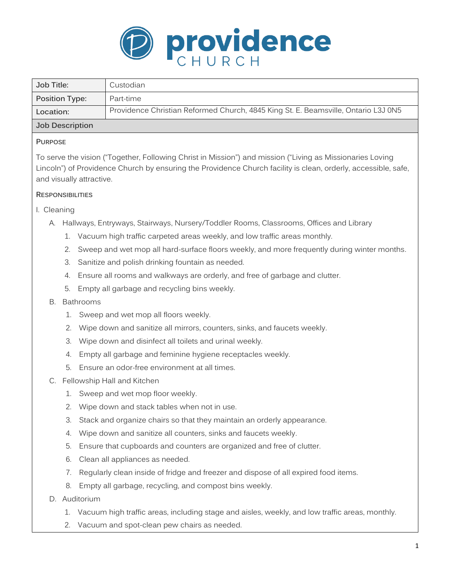

| Job Title:      | Custodian                                                                          |
|-----------------|------------------------------------------------------------------------------------|
| Position Type:  | Part-time                                                                          |
| Location:       | Providence Christian Reformed Church, 4845 King St. E. Beamsville, Ontario L3J 0N5 |
| Job Description |                                                                                    |

### **PURPOSE**

To serve the vision ("Together, Following Christ in Mission") and mission ("Living as Missionaries Loving Lincoln") of Providence Church by ensuring the Providence Church facility is clean, orderly, accessible, safe, and visually attractive.

# **RESPONSIBILITIES**

# I. Cleaning

- A. Hallways, Entryways, Stairways, Nursery/Toddler Rooms, Classrooms, Offices and Library
	- 1. Vacuum high traffic carpeted areas weekly, and low traffic areas monthly.
	- 2. Sweep and wet mop all hard-surface floors weekly, and more frequently during winter months.
	- 3. Sanitize and polish drinking fountain as needed.
	- 4. Ensure all rooms and walkways are orderly, and free of garbage and clutter.
	- 5. Empty all garbage and recycling bins weekly.
- B. Bathrooms
	- 1. Sweep and wet mop all floors weekly.
	- 2. Wipe down and sanitize all mirrors, counters, sinks, and faucets weekly.
	- 3. Wipe down and disinfect all toilets and urinal weekly.
	- 4. Empty all garbage and feminine hygiene receptacles weekly.
	- 5. Ensure an odor-free environment at all times.
- C. Fellowship Hall and Kitchen
	- 1. Sweep and wet mop floor weekly.
	- 2. Wipe down and stack tables when not in use.
	- 3. Stack and organize chairs so that they maintain an orderly appearance.
	- 4. Wipe down and sanitize all counters, sinks and faucets weekly.
	- 5. Ensure that cupboards and counters are organized and free of clutter.
	- 6. Clean all appliances as needed.
	- 7. Regularly clean inside of fridge and freezer and dispose of all expired food items.
	- 8. Empty all garbage, recycling, and compost bins weekly.
- D. Auditorium
	- 1. Vacuum high traffic areas, including stage and aisles, weekly, and low traffic areas, monthly.
	- 2. Vacuum and spot-clean pew chairs as needed.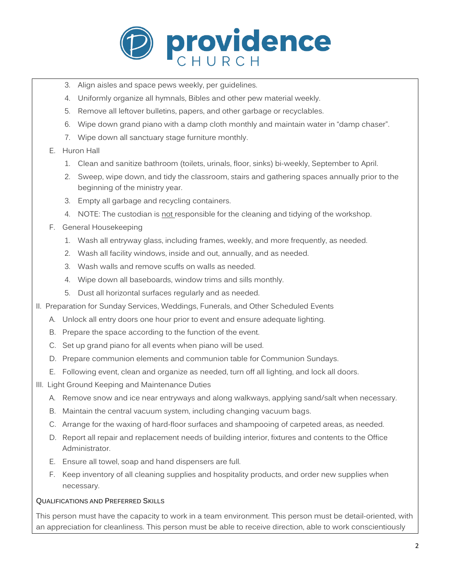

- 3. Align aisles and space pews weekly, per guidelines.
- 4. Uniformly organize all hymnals, Bibles and other pew material weekly.
- 5. Remove all leftover bulletins, papers, and other garbage or recyclables.
- 6. Wipe down grand piano with a damp cloth monthly and maintain water in "damp chaser".
- 7. Wipe down all sanctuary stage furniture monthly.

### E. Huron Hall

- 1. Clean and sanitize bathroom (toilets, urinals, floor, sinks) bi-weekly, September to April.
- 2. Sweep, wipe down, and tidy the classroom, stairs and gathering spaces annually prior to the beginning of the ministry year.
- 3. Empty all garbage and recycling containers.
- 4. NOTE: The custodian is not responsible for the cleaning and tidying of the workshop.
- F. General Housekeeping
	- 1. Wash all entryway glass, including frames, weekly, and more frequently, as needed.
	- 2. Wash all facility windows, inside and out, annually, and as needed.
	- 3. Wash walls and remove scuffs on walls as needed.
	- 4. Wipe down all baseboards, window trims and sills monthly.
	- 5. Dust all horizontal surfaces regularly and as needed.
- II. Preparation for Sunday Services, Weddings, Funerals, and Other Scheduled Events
	- A. Unlock all entry doors one hour prior to event and ensure adequate lighting.
	- B. Prepare the space according to the function of the event.
	- C. Set up grand piano for all events when piano will be used.
	- D. Prepare communion elements and communion table for Communion Sundays.
	- E. Following event, clean and organize as needed, turn off all lighting, and lock all doors.
- III. Light Ground Keeping and Maintenance Duties
	- A. Remove snow and ice near entryways and along walkways, applying sand/salt when necessary.
	- B. Maintain the central vacuum system, including changing vacuum bags.
	- C. Arrange for the waxing of hard-floor surfaces and shampooing of carpeted areas, as needed.
	- D. Report all repair and replacement needs of building interior, fixtures and contents to the Office Administrator.
	- E. Ensure all towel, soap and hand dispensers are full.
	- F. Keep inventory of all cleaning supplies and hospitality products, and order new supplies when necessary.

#### **QUALIFICATIONS AND PREFERRED SKILLS**

This person must have the capacity to work in a team environment. This person must be detail-oriented, with an appreciation for cleanliness. This person must be able to receive direction, able to work conscientiously